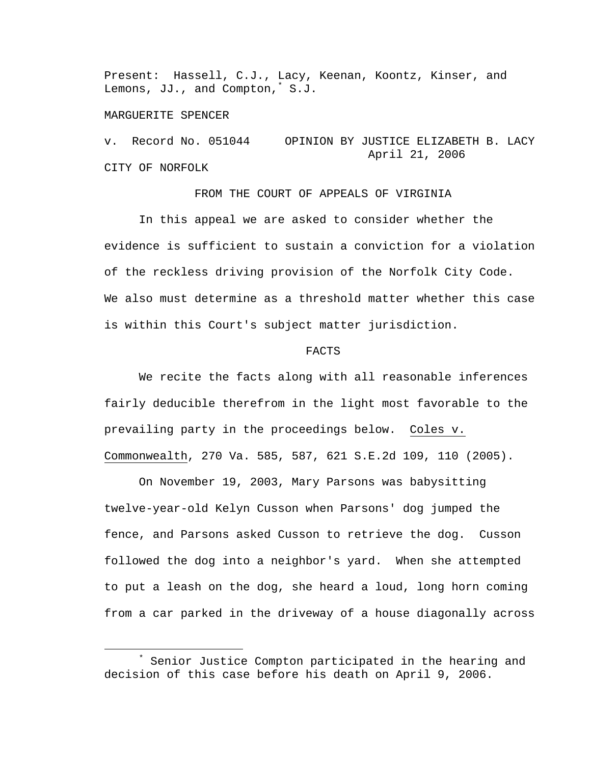Present: Hassell, C.J., Lacy, Keenan, Koontz, Kinser, and Lemons, JJ., and Compton,\* S.J.

## MARGUERITE SPENCER

v. Record No. 051044 OPINION BY JUSTICE ELIZABETH B. LACY April 21, 2006 CITY OF NORFOLK

## FROM THE COURT OF APPEALS OF VIRGINIA

 In this appeal we are asked to consider whether the evidence is sufficient to sustain a conviction for a violation of the reckless driving provision of the Norfolk City Code. We also must determine as a threshold matter whether this case is within this Court's subject matter jurisdiction.

## FACTS

 We recite the facts along with all reasonable inferences fairly deducible therefrom in the light most favorable to the prevailing party in the proceedings below. Coles v. Commonwealth, 270 Va. 585, 587, 621 S.E.2d 109, 110 (2005).

On November 19, 2003, Mary Parsons was babysitting twelve-year-old Kelyn Cusson when Parsons' dog jumped the fence, and Parsons asked Cusson to retrieve the dog. Cusson followed the dog into a neighbor's yard. When she attempted to put a leash on the dog, she heard a loud, long horn coming from a car parked in the driveway of a house diagonally across

 $\ddot{x}$  Senior Justice Compton participated in the hearing and decision of this case before his death on April 9, 2006.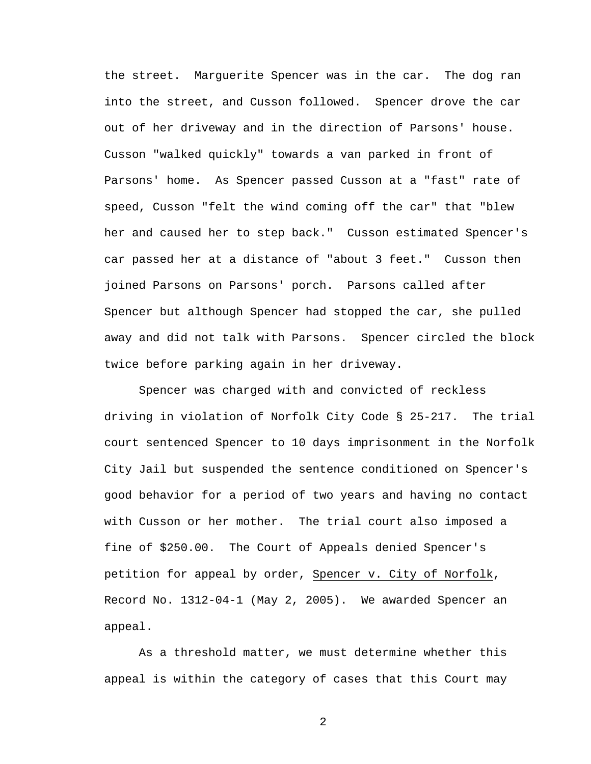the street. Marguerite Spencer was in the car. The dog ran into the street, and Cusson followed. Spencer drove the car out of her driveway and in the direction of Parsons' house. Cusson "walked quickly" towards a van parked in front of Parsons' home. As Spencer passed Cusson at a "fast" rate of speed, Cusson "felt the wind coming off the car" that "blew her and caused her to step back." Cusson estimated Spencer's car passed her at a distance of "about 3 feet." Cusson then joined Parsons on Parsons' porch. Parsons called after Spencer but although Spencer had stopped the car, she pulled away and did not talk with Parsons. Spencer circled the block twice before parking again in her driveway.

 Spencer was charged with and convicted of reckless driving in violation of Norfolk City Code § 25-217. The trial court sentenced Spencer to 10 days imprisonment in the Norfolk City Jail but suspended the sentence conditioned on Spencer's good behavior for a period of two years and having no contact with Cusson or her mother. The trial court also imposed a fine of \$250.00. The Court of Appeals denied Spencer's petition for appeal by order, Spencer v. City of Norfolk, Record No. 1312-04-1 (May 2, 2005). We awarded Spencer an appeal.

As a threshold matter, we must determine whether this appeal is within the category of cases that this Court may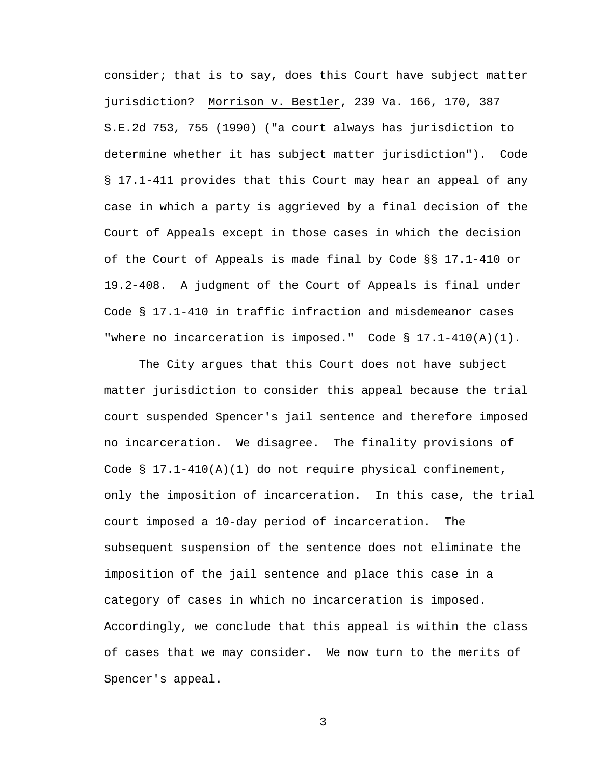consider; that is to say, does this Court have subject matter jurisdiction? Morrison v. Bestler, 239 Va. 166, 170, 387 S.E.2d 753, 755 (1990) ("a court always has jurisdiction to determine whether it has subject matter jurisdiction"). Code § 17.1-411 provides that this Court may hear an appeal of any case in which a party is aggrieved by a final decision of the Court of Appeals except in those cases in which the decision of the Court of Appeals is made final by Code §§ 17.1-410 or 19.2-408. A judgment of the Court of Appeals is final under Code § 17.1-410 in traffic infraction and misdemeanor cases "where no incarceration is imposed." Code § 17.1-410(A)(1).

The City argues that this Court does not have subject matter jurisdiction to consider this appeal because the trial court suspended Spencer's jail sentence and therefore imposed no incarceration. We disagree. The finality provisions of Code § 17.1-410(A)(1) do not require physical confinement, only the imposition of incarceration. In this case, the trial court imposed a 10-day period of incarceration. The subsequent suspension of the sentence does not eliminate the imposition of the jail sentence and place this case in a category of cases in which no incarceration is imposed. Accordingly, we conclude that this appeal is within the class of cases that we may consider. We now turn to the merits of Spencer's appeal.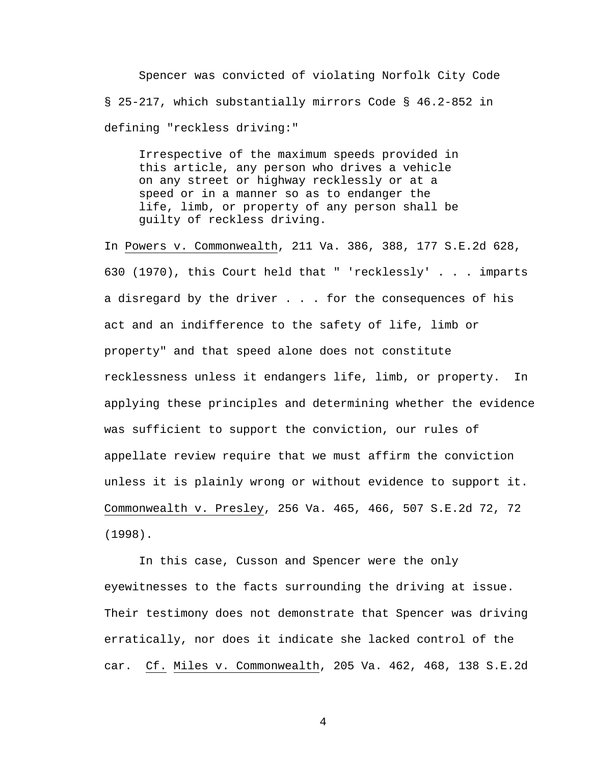Spencer was convicted of violating Norfolk City Code § 25-217, which substantially mirrors Code § 46.2-852 in defining "reckless driving:"

Irrespective of the maximum speeds provided in this article, any person who drives a vehicle on any street or highway recklessly or at a speed or in a manner so as to endanger the life, limb, or property of any person shall be guilty of reckless driving.

In Powers v. Commonwealth, 211 Va. 386, 388, 177 S.E.2d 628, 630 (1970), this Court held that " 'recklessly' . . . imparts a disregard by the driver . . . for the consequences of his act and an indifference to the safety of life, limb or property" and that speed alone does not constitute recklessness unless it endangers life, limb, or property. In applying these principles and determining whether the evidence was sufficient to support the conviction, our rules of appellate review require that we must affirm the conviction unless it is plainly wrong or without evidence to support it. Commonwealth v. Presley, 256 Va. 465, 466, 507 S.E.2d 72, 72 (1998).

In this case, Cusson and Spencer were the only eyewitnesses to the facts surrounding the driving at issue. Their testimony does not demonstrate that Spencer was driving erratically, nor does it indicate she lacked control of the car. Cf. Miles v. Commonwealth, 205 Va. 462, 468, 138 S.E.2d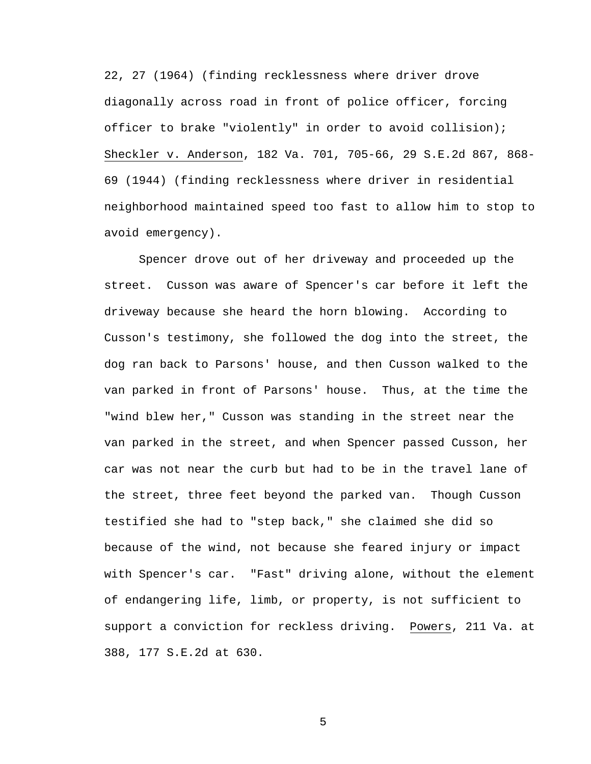22, 27 (1964) (finding recklessness where driver drove diagonally across road in front of police officer, forcing officer to brake "violently" in order to avoid collision); Sheckler v. Anderson, 182 Va. 701, 705-66, 29 S.E.2d 867, 868- 69 (1944) (finding recklessness where driver in residential neighborhood maintained speed too fast to allow him to stop to avoid emergency).

Spencer drove out of her driveway and proceeded up the street. Cusson was aware of Spencer's car before it left the driveway because she heard the horn blowing. According to Cusson's testimony, she followed the dog into the street, the dog ran back to Parsons' house, and then Cusson walked to the van parked in front of Parsons' house. Thus, at the time the "wind blew her," Cusson was standing in the street near the van parked in the street, and when Spencer passed Cusson, her car was not near the curb but had to be in the travel lane of the street, three feet beyond the parked van. Though Cusson testified she had to "step back," she claimed she did so because of the wind, not because she feared injury or impact with Spencer's car. "Fast" driving alone, without the element of endangering life, limb, or property, is not sufficient to support a conviction for reckless driving. Powers, 211 Va. at 388, 177 S.E.2d at 630.